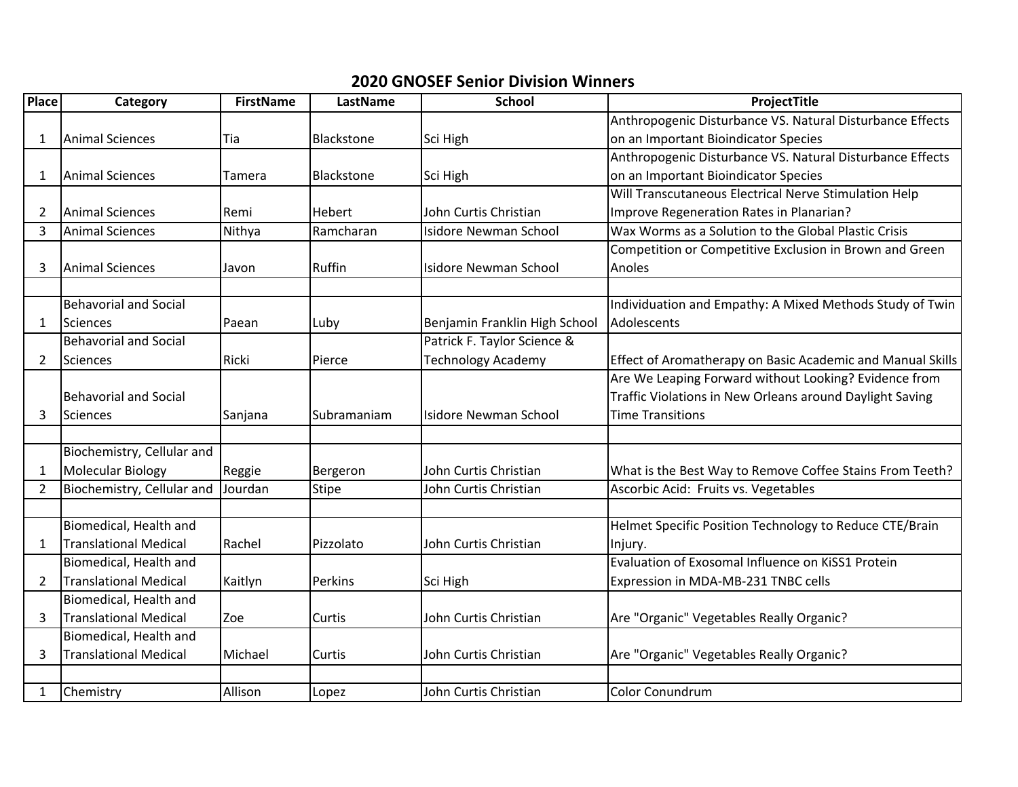## **2020 GNOSEF Senior Division Winners**

| <b>Place</b>   | Category                     | <b>FirstName</b> | LastName      | <b>School</b>                 | ProjectTitle                                               |
|----------------|------------------------------|------------------|---------------|-------------------------------|------------------------------------------------------------|
|                |                              |                  |               |                               | Anthropogenic Disturbance VS. Natural Disturbance Effects  |
| 1              | Animal Sciences              | Tia              | Blackstone    | Sci High                      | on an Important Bioindicator Species                       |
|                |                              |                  |               |                               | Anthropogenic Disturbance VS. Natural Disturbance Effects  |
| 1              | <b>Animal Sciences</b>       | Tamera           | Blackstone    | Sci High                      | on an Important Bioindicator Species                       |
|                |                              |                  |               |                               | Will Transcutaneous Electrical Nerve Stimulation Help      |
| 2              | <b>Animal Sciences</b>       | Remi             | <b>Hebert</b> | John Curtis Christian         | Improve Regeneration Rates in Planarian?                   |
| 3              | <b>Animal Sciences</b>       | Nithya           | Ramcharan     | <b>Isidore Newman School</b>  | Wax Worms as a Solution to the Global Plastic Crisis       |
|                |                              |                  |               |                               | Competition or Competitive Exclusion in Brown and Green    |
| 3              | Animal Sciences              | Javon            | Ruffin        | <b>Isidore Newman School</b>  | Anoles                                                     |
|                |                              |                  |               |                               |                                                            |
|                | <b>Behavorial and Social</b> |                  |               |                               | Individuation and Empathy: A Mixed Methods Study of Twin   |
| 1              | Sciences                     | Paean            | Luby          | Benjamin Franklin High School | Adolescents                                                |
|                | <b>Behavorial and Social</b> |                  |               | Patrick F. Taylor Science &   |                                                            |
| 2              | Sciences                     | Ricki            | Pierce        | <b>Technology Academy</b>     | Effect of Aromatherapy on Basic Academic and Manual Skills |
|                |                              |                  |               |                               | Are We Leaping Forward without Looking? Evidence from      |
|                | <b>Behavorial and Social</b> |                  |               |                               | Traffic Violations in New Orleans around Daylight Saving   |
| 3              | <b>Sciences</b>              | Sanjana          | Subramaniam   | <b>Isidore Newman School</b>  | <b>Time Transitions</b>                                    |
|                |                              |                  |               |                               |                                                            |
|                | Biochemistry, Cellular and   |                  |               |                               |                                                            |
| 1              | Molecular Biology            | Reggie           | Bergeron      | John Curtis Christian         | What is the Best Way to Remove Coffee Stains From Teeth?   |
| $\overline{2}$ | Biochemistry, Cellular and   | Jourdan          | <b>Stipe</b>  | John Curtis Christian         | Ascorbic Acid: Fruits vs. Vegetables                       |
|                |                              |                  |               |                               |                                                            |
|                | Biomedical, Health and       |                  |               |                               | Helmet Specific Position Technology to Reduce CTE/Brain    |
| 1              | <b>Translational Medical</b> | Rachel           | Pizzolato     | John Curtis Christian         | Injury.                                                    |
|                | Biomedical, Health and       |                  |               |                               | Evaluation of Exosomal Influence on KiSS1 Protein          |
| 2              | <b>Translational Medical</b> | Kaitlyn          | Perkins       | Sci High                      | Expression in MDA-MB-231 TNBC cells                        |
|                | Biomedical, Health and       |                  |               |                               |                                                            |
| 3              | <b>Translational Medical</b> | Zoe              | Curtis        | John Curtis Christian         | Are "Organic" Vegetables Really Organic?                   |
|                | Biomedical, Health and       |                  |               |                               |                                                            |
| 3              | <b>Translational Medical</b> | Michael          | <b>Curtis</b> | John Curtis Christian         | Are "Organic" Vegetables Really Organic?                   |
|                |                              |                  |               |                               |                                                            |
| $\mathbf{1}$   | Chemistry                    | Allison          | Lopez         | John Curtis Christian         | Color Conundrum                                            |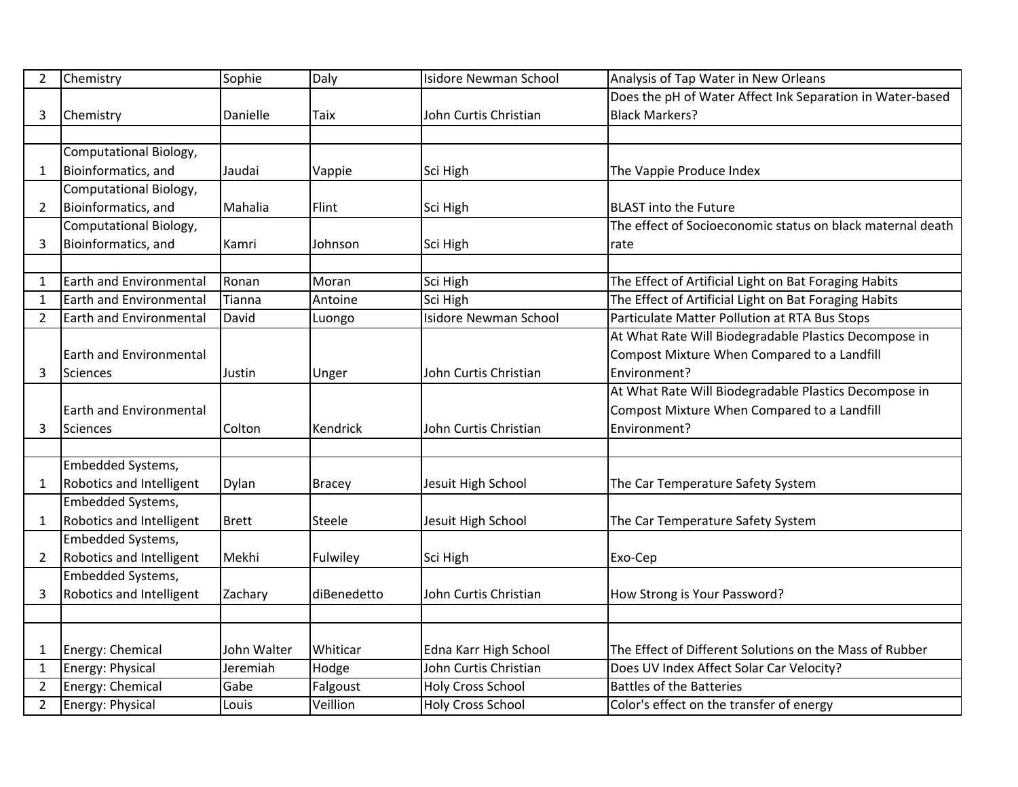| $\overline{2}$ | Chemistry                      | Sophie       | Daly          | <b>Isidore Newman School</b> | Analysis of Tap Water in New Orleans                       |
|----------------|--------------------------------|--------------|---------------|------------------------------|------------------------------------------------------------|
|                |                                |              |               |                              | Does the pH of Water Affect Ink Separation in Water-based  |
| 3              | Chemistry                      | Danielle     | Taix          | John Curtis Christian        | <b>Black Markers?</b>                                      |
|                |                                |              |               |                              |                                                            |
|                | Computational Biology,         |              |               |                              |                                                            |
| $\mathbf 1$    | Bioinformatics, and            | Jaudai       | Vappie        | Sci High                     | The Vappie Produce Index                                   |
|                | Computational Biology,         |              |               |                              |                                                            |
| 2              | Bioinformatics, and            | Mahalia      | Flint         | Sci High                     | <b>BLAST into the Future</b>                               |
|                | Computational Biology,         |              |               |                              | The effect of Socioeconomic status on black maternal death |
| 3              | Bioinformatics, and            | Kamri        | Johnson       | Sci High                     | rate                                                       |
|                |                                |              |               |                              |                                                            |
| $\mathbf 1$    | <b>Earth and Environmental</b> | Ronan        | Moran         | Sci High                     | The Effect of Artificial Light on Bat Foraging Habits      |
| $\mathbf{1}$   | Earth and Environmental        | Tianna       | Antoine       | Sci High                     | The Effect of Artificial Light on Bat Foraging Habits      |
| $\overline{2}$ | <b>Earth and Environmental</b> | David        | Luongo        | <b>Isidore Newman School</b> | Particulate Matter Pollution at RTA Bus Stops              |
|                |                                |              |               |                              | At What Rate Will Biodegradable Plastics Decompose in      |
|                | <b>Earth and Environmental</b> |              |               |                              | Compost Mixture When Compared to a Landfill                |
| 3              | Sciences                       | Justin       | Unger         | John Curtis Christian        | Environment?                                               |
|                |                                |              |               |                              | At What Rate Will Biodegradable Plastics Decompose in      |
|                | <b>Earth and Environmental</b> |              |               |                              | Compost Mixture When Compared to a Landfill                |
| 3              | Sciences                       | Colton       | Kendrick      | John Curtis Christian        | Environment?                                               |
|                |                                |              |               |                              |                                                            |
|                | Embedded Systems,              |              |               |                              |                                                            |
| 1              | Robotics and Intelligent       | Dylan        | <b>Bracey</b> | Jesuit High School           | The Car Temperature Safety System                          |
|                | Embedded Systems,              |              |               |                              |                                                            |
| 1              | Robotics and Intelligent       | <b>Brett</b> | Steele        | Jesuit High School           | The Car Temperature Safety System                          |
|                | Embedded Systems,              |              |               |                              |                                                            |
| $\overline{2}$ | Robotics and Intelligent       | Mekhi        | Fulwiley      | Sci High                     | Exo-Cep                                                    |
|                | Embedded Systems,              |              |               |                              |                                                            |
| 3              | Robotics and Intelligent       | Zachary      | diBenedetto   | John Curtis Christian        | How Strong is Your Password?                               |
|                |                                |              |               |                              |                                                            |
|                |                                |              |               |                              |                                                            |
| 1              | Energy: Chemical               | John Walter  | Whiticar      | Edna Karr High School        | The Effect of Different Solutions on the Mass of Rubber    |
| $\mathbf{1}$   | Energy: Physical               | Jeremiah     | Hodge         | John Curtis Christian        | Does UV Index Affect Solar Car Velocity?                   |
| $\overline{2}$ | Energy: Chemical               | Gabe         | Falgoust      | <b>Holy Cross School</b>     | <b>Battles of the Batteries</b>                            |
| $\overline{2}$ | Energy: Physical               | Louis        | Veillion      | <b>Holy Cross School</b>     | Color's effect on the transfer of energy                   |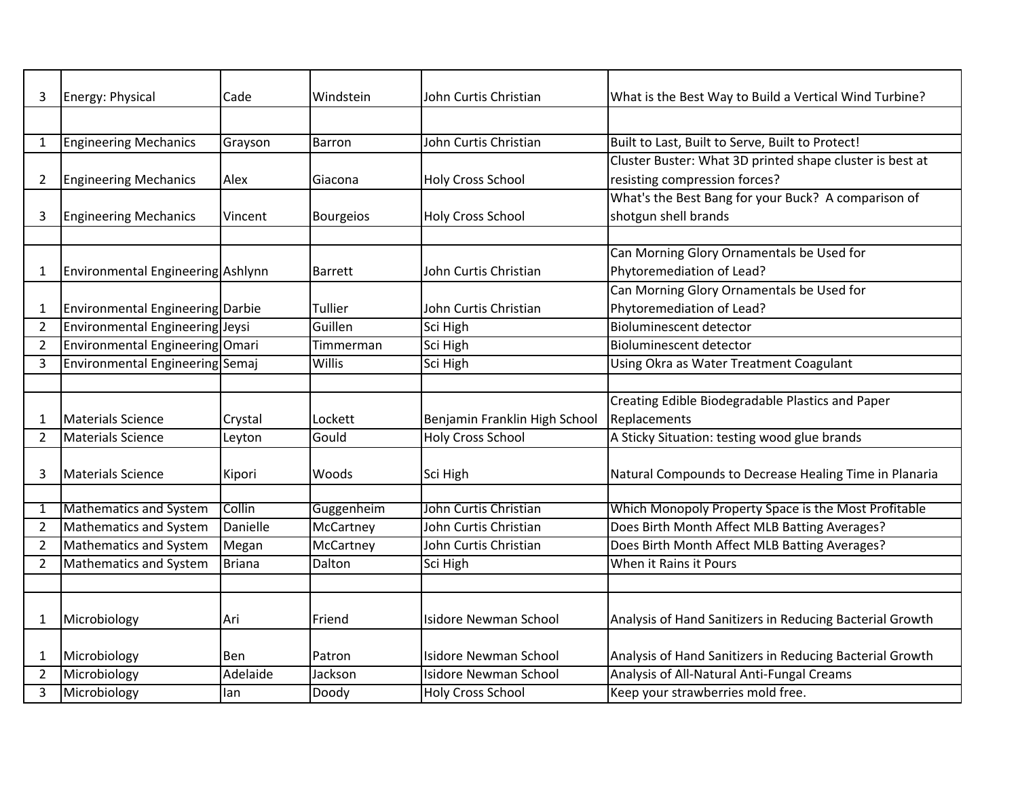| 3              | Energy: Physical                  | Cade          | Windstein        | John Curtis Christian         | What is the Best Way to Build a Vertical Wind Turbine?   |
|----------------|-----------------------------------|---------------|------------------|-------------------------------|----------------------------------------------------------|
|                |                                   |               |                  |                               |                                                          |
| $\mathbf{1}$   | <b>Engineering Mechanics</b>      | Grayson       | Barron           | John Curtis Christian         | Built to Last, Built to Serve, Built to Protect!         |
|                |                                   |               |                  |                               | Cluster Buster: What 3D printed shape cluster is best at |
| 2              | <b>Engineering Mechanics</b>      | Alex          | Giacona          | Holy Cross School             | resisting compression forces?                            |
|                |                                   |               |                  |                               | What's the Best Bang for your Buck? A comparison of      |
| 3              | <b>Engineering Mechanics</b>      | Vincent       | <b>Bourgeios</b> | <b>Holy Cross School</b>      | shotgun shell brands                                     |
|                |                                   |               |                  |                               |                                                          |
|                |                                   |               |                  |                               | Can Morning Glory Ornamentals be Used for                |
| $\mathbf{1}$   | Environmental Engineering Ashlynn |               | <b>Barrett</b>   | John Curtis Christian         | Phytoremediation of Lead?                                |
|                |                                   |               |                  |                               | Can Morning Glory Ornamentals be Used for                |
| $\mathbf{1}$   | Environmental Engineering Darbie  |               | Tullier          | John Curtis Christian         | Phytoremediation of Lead?                                |
| $\overline{2}$ | Environmental Engineering Jeysi   |               | Guillen          | Sci High                      | <b>Bioluminescent detector</b>                           |
| $\overline{2}$ | Environmental Engineering Omari   |               | Timmerman        | Sci High                      | <b>Bioluminescent detector</b>                           |
| 3              | Environmental Engineering Semaj   |               | Willis           | Sci High                      | Using Okra as Water Treatment Coagulant                  |
|                |                                   |               |                  |                               |                                                          |
|                |                                   |               |                  |                               | Creating Edible Biodegradable Plastics and Paper         |
| 1              | <b>Materials Science</b>          | Crystal       | Lockett          | Benjamin Franklin High School | Replacements                                             |
| $\overline{2}$ | Materials Science                 | Leyton        | Gould            | <b>Holy Cross School</b>      | A Sticky Situation: testing wood glue brands             |
|                |                                   |               |                  |                               |                                                          |
| 3              | <b>Materials Science</b>          | Kipori        | Woods            | Sci High                      | Natural Compounds to Decrease Healing Time in Planaria   |
|                |                                   |               |                  |                               |                                                          |
| 1              | <b>Mathematics and System</b>     | Collin        | Guggenheim       | John Curtis Christian         | Which Monopoly Property Space is the Most Profitable     |
| $\overline{2}$ | Mathematics and System            | Danielle      | McCartney        | John Curtis Christian         | Does Birth Month Affect MLB Batting Averages?            |
| $\overline{2}$ | <b>Mathematics and System</b>     | Megan         | McCartney        | John Curtis Christian         | Does Birth Month Affect MLB Batting Averages?            |
| $\overline{2}$ | Mathematics and System            | <b>Briana</b> | Dalton           | Sci High                      | When it Rains it Pours                                   |
|                |                                   |               |                  |                               |                                                          |
|                |                                   |               |                  |                               |                                                          |
| $\mathbf{1}$   | Microbiology                      | Ari           | Friend           | Isidore Newman School         | Analysis of Hand Sanitizers in Reducing Bacterial Growth |
|                |                                   |               |                  |                               |                                                          |
| $\mathbf{1}$   | Microbiology                      | <b>Ben</b>    | Patron           | <b>Isidore Newman School</b>  | Analysis of Hand Sanitizers in Reducing Bacterial Growth |
| $\overline{2}$ | Microbiology                      | Adelaide      | Jackson          | <b>Isidore Newman School</b>  | Analysis of All-Natural Anti-Fungal Creams               |
| 3              | Microbiology                      | lan           | Doody            | <b>Holy Cross School</b>      | Keep your strawberries mold free.                        |